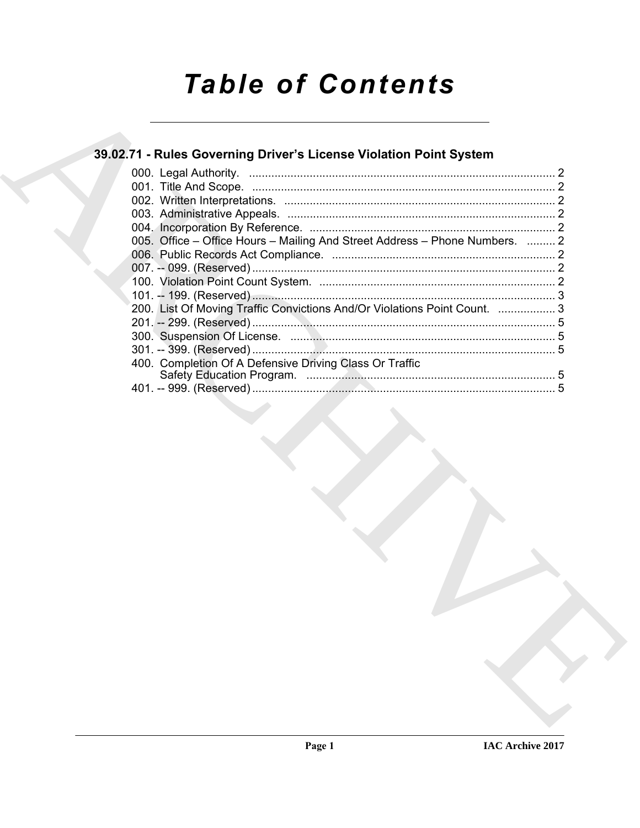# **Table of Contents**

## 39.02.71 - Rules Governing Driver's License Violation Point System

| 005. Office – Office Hours – Mailing And Street Address – Phone Numbers.  2 |  |
|-----------------------------------------------------------------------------|--|
|                                                                             |  |
|                                                                             |  |
|                                                                             |  |
|                                                                             |  |
| 200. List Of Moving Traffic Convictions And/Or Violations Point Count.  3   |  |
|                                                                             |  |
|                                                                             |  |
|                                                                             |  |
| 400. Completion Of A Defensive Driving Class Or Traffic                     |  |
|                                                                             |  |
|                                                                             |  |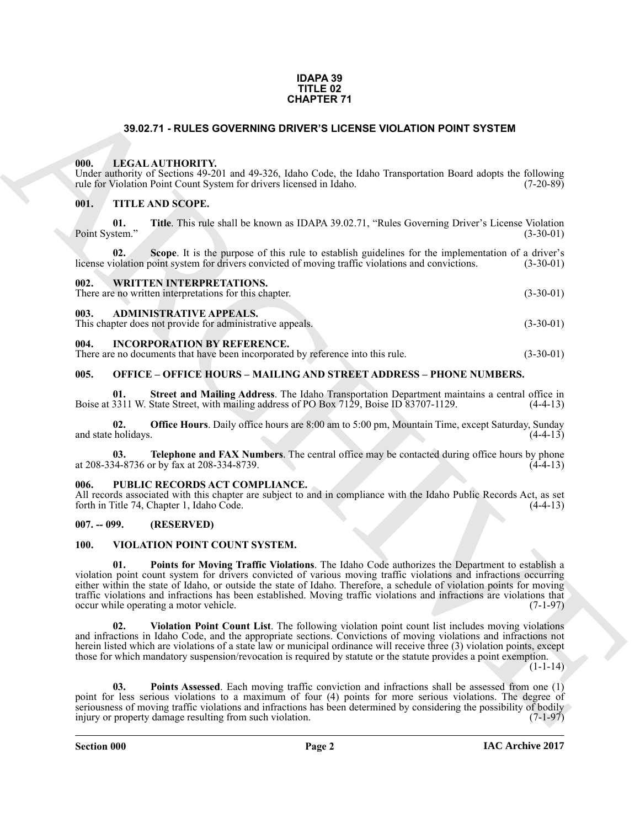#### **IDAPA 39 TITLE 02 CHAPTER 71**

#### **39.02.71 - RULES GOVERNING DRIVER'S LICENSE VIOLATION POINT SYSTEM**

#### <span id="page-1-1"></span><span id="page-1-0"></span>**000. LEGAL AUTHORITY.**

Under authority of Sections 49-201 and 49-326, Idaho Code, the Idaho Transportation Board adopts the following rule for Violation Point Count System for drivers licensed in Idaho. (7-20-89) rule for Violation Point Count System for drivers licensed in Idaho.

#### <span id="page-1-2"></span>**001. TITLE AND SCOPE.**

**01. Title**. This rule shall be known as IDAPA 39.02.71, "Rules Governing Driver's License Violation Point System." (3-30-01)

**02.** Scope. It is the purpose of this rule to establish guidelines for the implementation of a driver's iolation point system for drivers convicted of moving traffic violations and convictions. (3-30-01) license violation point system for drivers convicted of moving traffic violations and convictions.

#### <span id="page-1-3"></span>**002. WRITTEN INTERPRETATIONS.**

There are no written interpretations for this chapter. (3-30-01)

#### <span id="page-1-4"></span>**003. ADMINISTRATIVE APPEALS.**

This chapter does not provide for administrative appeals. (3-30-01)

#### <span id="page-1-5"></span>**004. INCORPORATION BY REFERENCE.**

There are no documents that have been incorporated by reference into this rule. (3-30-01)

#### <span id="page-1-6"></span>**005. OFFICE – OFFICE HOURS – MAILING AND STREET ADDRESS – PHONE NUMBERS.**

**Street and Mailing Address**. The Idaho Transportation Department maintains a central office in Boise at 3311 W. State Street, with mailing address of PO Box 7129, Boise ID 83707-1129. (4-4-13)

**02. Office Hours**. Daily office hours are 8:00 am to 5:00 pm, Mountain Time, except Saturday, Sunday and state holidays. (4-4-13)

**03. Telephone and FAX Numbers**. The central office may be contacted during office hours by phone at 208-334-8736 or by fax at 208-334-8739. (4-4-13)

#### <span id="page-1-7"></span>PUBLIC RECORDS ACT COMPLIANCE.

All records associated with this chapter are subject to and in compliance with the Idaho Public Records Act, as set forth in Title 74, Chapter 1, Idaho Code. (4-4-13) forth in Title 74, Chapter 1, Idaho Code.

#### <span id="page-1-8"></span>**007. -- 099. (RESERVED)**

#### <span id="page-1-12"></span><span id="page-1-10"></span><span id="page-1-9"></span>**100. VIOLATION POINT COUNT SYSTEM.**

**39.02.71 - RULES GOVERNING DRIVER'S LIGENER VIOLATION POINT SYSTEM<br>
WELL ALVITTIDENTY.**<br>
We are the control of the control of the control of the control of the control of the control of the control of the control of the **01. Points for Moving Traffic Violations**. The Idaho Code authorizes the Department to establish a violation point count system for drivers convicted of various moving traffic violations and infractions occurring either within the state of Idaho, or outside the state of Idaho. Therefore, a schedule of violation points for moving traffic violations and infractions has been established. Moving traffic violations and infractions are violations that occur while operating a motor vehicle. occur while operating a motor vehicle.

<span id="page-1-13"></span>**02. Violation Point Count List**. The following violation point count list includes moving violations and infractions in Idaho Code, and the appropriate sections. Convictions of moving violations and infractions not herein listed which are violations of a state law or municipal ordinance will receive three (3) violation points, except those for which mandatory suspension/revocation is required by statute or the statute provides a point exemption.

 $(1-1-14)$ 

<span id="page-1-11"></span>**03. Points Assessed**. Each moving traffic conviction and infractions shall be assessed from one (1) point for less serious violations to a maximum of four (4) points for more serious violations. The degree of seriousness of moving traffic violations and infractions has been determined by considering the possibility of bodily injury or property damage resulting from such violation. (7-1-97)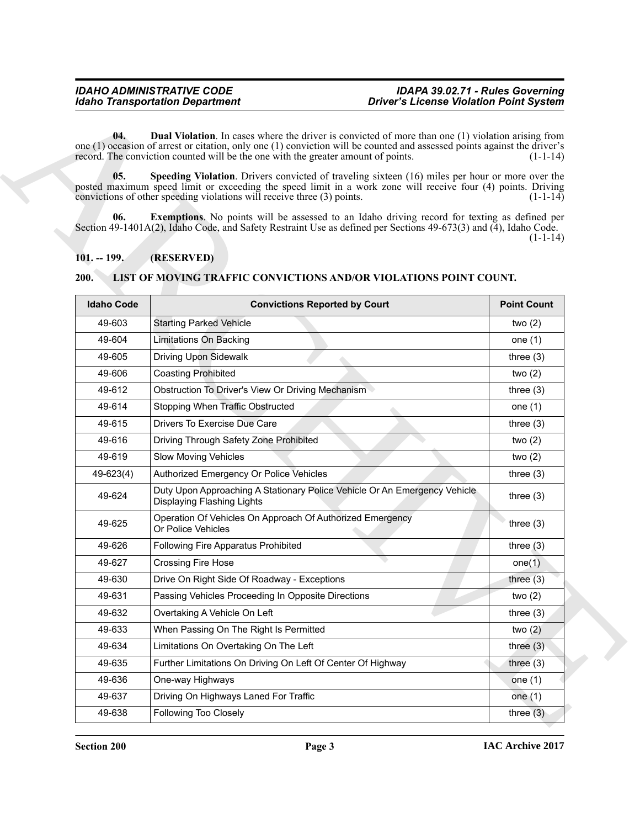### <span id="page-2-5"></span><span id="page-2-4"></span><span id="page-2-3"></span><span id="page-2-0"></span>**101. -- 199. (RESERVED)**

### <span id="page-2-2"></span><span id="page-2-1"></span>**200. LIST OF MOVING TRAFFIC CONVICTIONS AND/OR VIOLATIONS POINT COUNT.**

|                                                                                                                                                                                                                                                                                                                                                                                                                                                                                                                                                                                                                                                                         | <b>Idaho Transportation Department</b>                                                                           | <b>Driver's License Violation Point System</b> |  |
|-------------------------------------------------------------------------------------------------------------------------------------------------------------------------------------------------------------------------------------------------------------------------------------------------------------------------------------------------------------------------------------------------------------------------------------------------------------------------------------------------------------------------------------------------------------------------------------------------------------------------------------------------------------------------|------------------------------------------------------------------------------------------------------------------|------------------------------------------------|--|
| <b>Dual Violation</b> . In cases where the driver is convicted of more than one (1) violation arising from<br>04.<br>one $(1)$ occasion of arrest or citation, only one $(1)$ conviction will be counted and assessed points against the driver's<br>record. The conviction counted will be the one with the greater amount of points.<br>$(1-1-14)$<br>05.<br>Speeding Violation. Drivers convicted of traveling sixteen (16) miles per hour or more over the<br>posted maximum speed limit or exceeding the speed limit in a work zone will receive four (4) points. Driving<br>convictions of other speeding violations will receive three (3) points.<br>$(1-1-14)$ |                                                                                                                  |                                                |  |
| 06.                                                                                                                                                                                                                                                                                                                                                                                                                                                                                                                                                                                                                                                                     | <b>Exemptions.</b> No points will be assessed to an Idaho driving record for texting as defined per              |                                                |  |
|                                                                                                                                                                                                                                                                                                                                                                                                                                                                                                                                                                                                                                                                         | Section 49-1401A(2), Idaho Code, and Safety Restraint Use as defined per Sections 49-673(3) and (4), Idaho Code. |                                                |  |
|                                                                                                                                                                                                                                                                                                                                                                                                                                                                                                                                                                                                                                                                         |                                                                                                                  | $(1-1-14)$                                     |  |
| $101. - 199.$                                                                                                                                                                                                                                                                                                                                                                                                                                                                                                                                                                                                                                                           | (RESERVED)                                                                                                       |                                                |  |
| 200.                                                                                                                                                                                                                                                                                                                                                                                                                                                                                                                                                                                                                                                                    | LIST OF MOVING TRAFFIC CONVICTIONS AND/OR VIOLATIONS POINT COUNT.                                                |                                                |  |
| <b>Idaho Code</b>                                                                                                                                                                                                                                                                                                                                                                                                                                                                                                                                                                                                                                                       | <b>Convictions Reported by Court</b>                                                                             | <b>Point Count</b>                             |  |
| 49-603                                                                                                                                                                                                                                                                                                                                                                                                                                                                                                                                                                                                                                                                  | <b>Starting Parked Vehicle</b>                                                                                   | two $(2)$                                      |  |
| 49-604                                                                                                                                                                                                                                                                                                                                                                                                                                                                                                                                                                                                                                                                  | Limitations On Backing                                                                                           | one $(1)$                                      |  |
| 49-605                                                                                                                                                                                                                                                                                                                                                                                                                                                                                                                                                                                                                                                                  | <b>Driving Upon Sidewalk</b>                                                                                     | three $(3)$                                    |  |
| 49-606                                                                                                                                                                                                                                                                                                                                                                                                                                                                                                                                                                                                                                                                  | <b>Coasting Prohibited</b>                                                                                       | two $(2)$                                      |  |
| 49-612                                                                                                                                                                                                                                                                                                                                                                                                                                                                                                                                                                                                                                                                  | Obstruction To Driver's View Or Driving Mechanism                                                                | three $(3)$                                    |  |
| 49-614                                                                                                                                                                                                                                                                                                                                                                                                                                                                                                                                                                                                                                                                  | Stopping When Traffic Obstructed                                                                                 | one $(1)$                                      |  |
| 49-615                                                                                                                                                                                                                                                                                                                                                                                                                                                                                                                                                                                                                                                                  | Drivers To Exercise Due Care                                                                                     | three $(3)$                                    |  |
| 49-616                                                                                                                                                                                                                                                                                                                                                                                                                                                                                                                                                                                                                                                                  | Driving Through Safety Zone Prohibited                                                                           | two $(2)$                                      |  |
| 49-619                                                                                                                                                                                                                                                                                                                                                                                                                                                                                                                                                                                                                                                                  | Slow Moving Vehicles                                                                                             | two $(2)$                                      |  |
| 49-623(4)                                                                                                                                                                                                                                                                                                                                                                                                                                                                                                                                                                                                                                                               | Authorized Emergency Or Police Vehicles                                                                          | three $(3)$                                    |  |
| 49-624                                                                                                                                                                                                                                                                                                                                                                                                                                                                                                                                                                                                                                                                  | Duty Upon Approaching A Stationary Police Vehicle Or An Emergency Vehicle<br><b>Displaying Flashing Lights</b>   | three $(3)$                                    |  |
| 49-625                                                                                                                                                                                                                                                                                                                                                                                                                                                                                                                                                                                                                                                                  | Operation Of Vehicles On Approach Of Authorized Emergency<br>Or Police Vehicles                                  | three $(3)$                                    |  |
| 49-626                                                                                                                                                                                                                                                                                                                                                                                                                                                                                                                                                                                                                                                                  | Following Fire Apparatus Prohibited                                                                              | three $(3)$                                    |  |
| 49-627                                                                                                                                                                                                                                                                                                                                                                                                                                                                                                                                                                                                                                                                  | <b>Crossing Fire Hose</b>                                                                                        | one(1)                                         |  |
| 49-630                                                                                                                                                                                                                                                                                                                                                                                                                                                                                                                                                                                                                                                                  | Drive On Right Side Of Roadway - Exceptions                                                                      | three $(3)$                                    |  |
| 49-631                                                                                                                                                                                                                                                                                                                                                                                                                                                                                                                                                                                                                                                                  | Passing Vehicles Proceeding In Opposite Directions                                                               | two $(2)$                                      |  |
| 49-632                                                                                                                                                                                                                                                                                                                                                                                                                                                                                                                                                                                                                                                                  | Overtaking A Vehicle On Left                                                                                     | three $(3)$                                    |  |
| 49-633                                                                                                                                                                                                                                                                                                                                                                                                                                                                                                                                                                                                                                                                  | When Passing On The Right Is Permitted                                                                           | two $(2)$                                      |  |
| 49-634                                                                                                                                                                                                                                                                                                                                                                                                                                                                                                                                                                                                                                                                  | Limitations On Overtaking On The Left                                                                            | three $(3)$                                    |  |
| 49-635                                                                                                                                                                                                                                                                                                                                                                                                                                                                                                                                                                                                                                                                  | Further Limitations On Driving On Left Of Center Of Highway                                                      | three $(3)$                                    |  |
| 49-636                                                                                                                                                                                                                                                                                                                                                                                                                                                                                                                                                                                                                                                                  | One-way Highways                                                                                                 | one $(1)$                                      |  |
|                                                                                                                                                                                                                                                                                                                                                                                                                                                                                                                                                                                                                                                                         |                                                                                                                  |                                                |  |
| 49-637                                                                                                                                                                                                                                                                                                                                                                                                                                                                                                                                                                                                                                                                  | Driving On Highways Laned For Traffic                                                                            | one $(1)$                                      |  |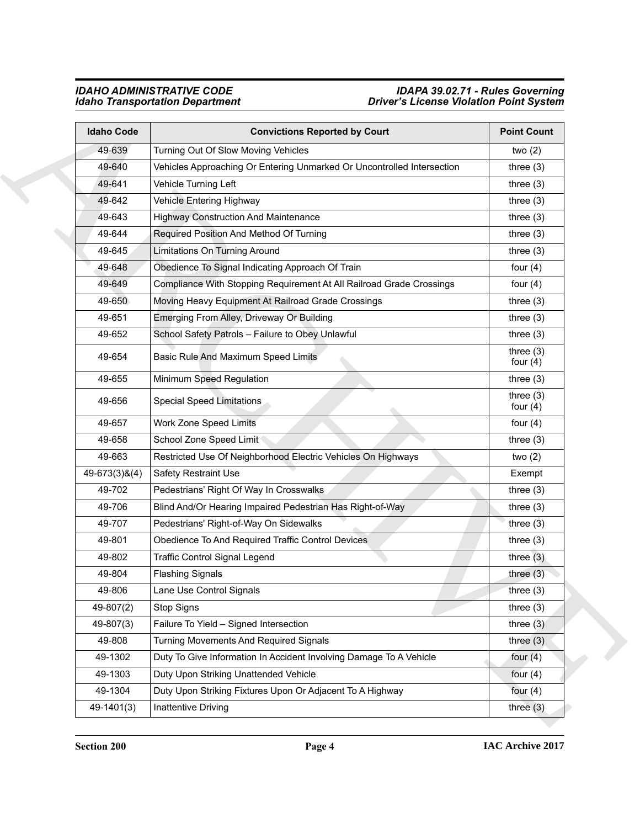### *IDAHO ADMINISTRATIVE CODE IDAPA 39.02.71 - Rules Governing Idaho Transportation Department Driver's License Violation Point System*

| <b>Idaho Code</b>     | <b>Convictions Reported by Court</b>                                   | <b>Point Count</b>        |
|-----------------------|------------------------------------------------------------------------|---------------------------|
| 49-639                | Turning Out Of Slow Moving Vehicles                                    | two $(2)$                 |
| 49-640                | Vehicles Approaching Or Entering Unmarked Or Uncontrolled Intersection | three $(3)$               |
| 49-641                | Vehicle Turning Left                                                   | three $(3)$               |
| 49-642                | Vehicle Entering Highway                                               | three $(3)$               |
| 49-643                | <b>Highway Construction And Maintenance</b>                            | three $(3)$               |
| 49-644                | Required Position And Method Of Turning                                | three $(3)$               |
| 49-645                | <b>Limitations On Turning Around</b>                                   | three $(3)$               |
| 49-648                | Obedience To Signal Indicating Approach Of Train                       | four $(4)$                |
| 49-649                | Compliance With Stopping Requirement At All Railroad Grade Crossings   | four $(4)$                |
| 49-650                | Moving Heavy Equipment At Railroad Grade Crossings                     | three $(3)$               |
| 49-651                | Emerging From Alley, Driveway Or Building                              | three $(3)$               |
| 49-652                | School Safety Patrols - Failure to Obey Unlawful                       | three $(3)$               |
| 49-654                | Basic Rule And Maximum Speed Limits                                    | three $(3)$<br>four $(4)$ |
| 49-655                | Minimum Speed Regulation                                               | three $(3)$               |
| 49-656                | <b>Special Speed Limitations</b>                                       | three $(3)$<br>four $(4)$ |
| 49-657                | Work Zone Speed Limits                                                 | four $(4)$                |
| 49-658                | School Zone Speed Limit                                                | three $(3)$               |
| 49-663                | Restricted Use Of Neighborhood Electric Vehicles On Highways           | two $(2)$                 |
| $49 - 673(3)$ & $(4)$ | <b>Safety Restraint Use</b>                                            | Exempt                    |
| 49-702                | Pedestrians' Right Of Way In Crosswalks                                | three $(3)$               |
| 49-706                | Blind And/Or Hearing Impaired Pedestrian Has Right-of-Way              | three $(3)$               |
| 49-707                | Pedestrians' Right-of-Way On Sidewalks                                 | three $(3)$               |
| 49-801                | Obedience To And Required Traffic Control Devices                      | three $(3)$               |
| 49-802                | <b>Traffic Control Signal Legend</b>                                   | three $(3)$               |
| 49-804                | <b>Flashing Signals</b>                                                | three $(3)$               |
| 49-806                | Lane Use Control Signals                                               | three $(3)$               |
| 49-807(2)             | Stop Signs                                                             | three $(3)$               |
| 49-807(3)             | Failure To Yield - Signed Intersection                                 | three $(3)$               |
| 49-808                | Turning Movements And Required Signals                                 | three $(3)$               |
| 49-1302               | Duty To Give Information In Accident Involving Damage To A Vehicle     | four $(4)$                |
| 49-1303               | Duty Upon Striking Unattended Vehicle                                  | four $(4)$                |
| 49-1304               | Duty Upon Striking Fixtures Upon Or Adjacent To A Highway              | four $(4)$                |
| 49-1401(3)            | Inattentive Driving                                                    | three $(3)$               |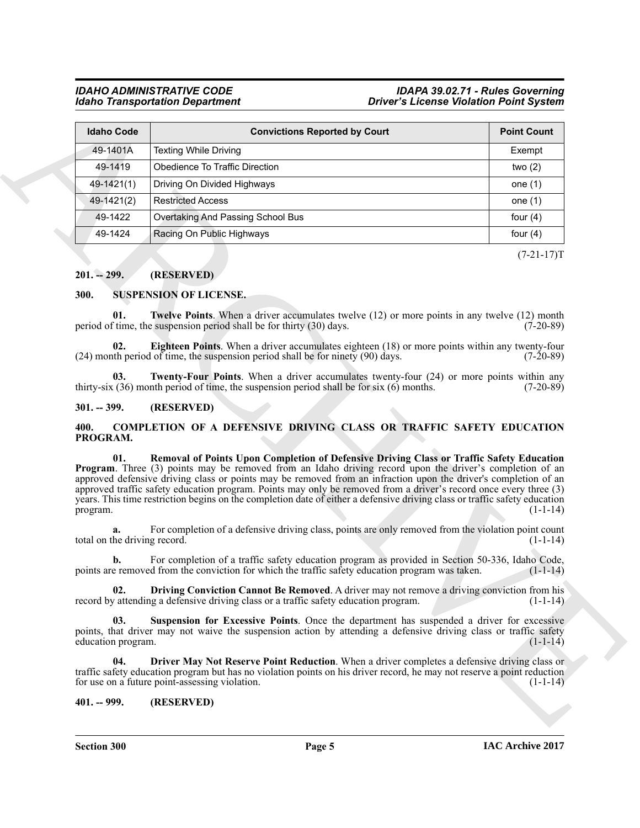#### *IDAHO ADMINISTRATIVE CODE IDAPA 39.02.71 - Rules Governing Idaho Transportation Department Driver's License Violation Point System*

| <b>Idaho Code</b>                              | <b>Convictions Reported by Court</b>                                                                                                                                                                                                                                                                                                                                                                                                                                                                                                                                               | <b>Point Count</b> |
|------------------------------------------------|------------------------------------------------------------------------------------------------------------------------------------------------------------------------------------------------------------------------------------------------------------------------------------------------------------------------------------------------------------------------------------------------------------------------------------------------------------------------------------------------------------------------------------------------------------------------------------|--------------------|
| 49-1401A                                       | <b>Texting While Driving</b>                                                                                                                                                                                                                                                                                                                                                                                                                                                                                                                                                       | Exempt             |
| 49-1419                                        | Obedience To Traffic Direction                                                                                                                                                                                                                                                                                                                                                                                                                                                                                                                                                     | two $(2)$          |
| 49-1421(1)                                     | Driving On Divided Highways                                                                                                                                                                                                                                                                                                                                                                                                                                                                                                                                                        | one $(1)$          |
| 49-1421(2)                                     | <b>Restricted Access</b>                                                                                                                                                                                                                                                                                                                                                                                                                                                                                                                                                           | one $(1)$          |
| 49-1422                                        | Overtaking And Passing School Bus                                                                                                                                                                                                                                                                                                                                                                                                                                                                                                                                                  | four $(4)$         |
| 49-1424                                        | Racing On Public Highways                                                                                                                                                                                                                                                                                                                                                                                                                                                                                                                                                          | four $(4)$         |
|                                                |                                                                                                                                                                                                                                                                                                                                                                                                                                                                                                                                                                                    | $(7-21-17)T$       |
| $201. - 299.$                                  | (RESERVED)                                                                                                                                                                                                                                                                                                                                                                                                                                                                                                                                                                         |                    |
|                                                |                                                                                                                                                                                                                                                                                                                                                                                                                                                                                                                                                                                    |                    |
| 300.                                           | <b>SUSPENSION OF LICENSE.</b>                                                                                                                                                                                                                                                                                                                                                                                                                                                                                                                                                      |                    |
| 01.                                            | Twelve Points. When a driver accumulates twelve (12) or more points in any twelve (12) month<br>period of time, the suspension period shall be for thirty (30) days.                                                                                                                                                                                                                                                                                                                                                                                                               | $(7-20-89)$        |
| 02.                                            | Eighteen Points. When a driver accumulates eighteen (18) or more points within any twenty-four<br>$(24)$ month period of time, the suspension period shall be for ninety $(90)$ days.                                                                                                                                                                                                                                                                                                                                                                                              | $(7-20-89)$        |
| 03.                                            | <b>Twenty-Four Points.</b> When a driver accumulates twenty-four (24) or more points within any<br>thirty-six $(36)$ month period of time, the suspension period shall be for six $(6)$ months.                                                                                                                                                                                                                                                                                                                                                                                    | $(7-20-89)$        |
|                                                |                                                                                                                                                                                                                                                                                                                                                                                                                                                                                                                                                                                    |                    |
| $301. - 399.$                                  | (RESERVED)                                                                                                                                                                                                                                                                                                                                                                                                                                                                                                                                                                         |                    |
| 400.<br>PROGRAM.                               | <b>COMPLETION OF A DEFENSIVE DRIVING CLASS OR TRAFFIC SAFETY EDUCATION</b>                                                                                                                                                                                                                                                                                                                                                                                                                                                                                                         |                    |
| 01.                                            | Removal of Points Upon Completion of Defensive Driving Class or Traffic Safety Education<br><b>Program</b> . Three (3) points may be removed from an Idaho driving record upon the driver's completion of an<br>approved defensive driving class or points may be removed from an infraction upon the driver's completion of an<br>approved traffic safety education program. Points may only be removed from a driver's record once every three (3)<br>years. This time restriction begins on the completion date of either a defensive driving class or traffic safety education | $(1-1-14)$         |
| a.                                             | For completion of a defensive driving class, points are only removed from the violation point count                                                                                                                                                                                                                                                                                                                                                                                                                                                                                | $(1-1-14)$         |
| program.<br>total on the driving record.<br>b. | For completion of a traffic safety education program as provided in Section 50-336, Idaho Code,<br>points are removed from the conviction for which the traffic safety education program was taken.                                                                                                                                                                                                                                                                                                                                                                                | $(1-1-14)$         |
| 02.                                            | Driving Conviction Cannot Be Removed. A driver may not remove a driving conviction from his<br>record by attending a defensive driving class or a traffic safety education program.                                                                                                                                                                                                                                                                                                                                                                                                | $(1-1-14)$         |
| 03.<br>education program.                      | Suspension for Excessive Points. Once the department has suspended a driver for excessive<br>points, that driver may not waive the suspension action by attending a defensive driving class or traffic safety                                                                                                                                                                                                                                                                                                                                                                      | $(1-1-14)$         |
| 04.                                            | Driver May Not Reserve Point Reduction. When a driver completes a defensive driving class or<br>traffic safety education program but has no violation points on his driver record, he may not reserve a point reduction<br>for use on a future point-assessing violation.                                                                                                                                                                                                                                                                                                          | $(1-1-14)$         |

### <span id="page-4-0"></span>**201. -- 299. (RESERVED)**

#### <span id="page-4-12"></span><span id="page-4-11"></span><span id="page-4-10"></span><span id="page-4-1"></span>**300. SUSPENSION OF LICENSE.**

#### <span id="page-4-13"></span><span id="page-4-2"></span>**301. -- 399. (RESERVED)**

#### <span id="page-4-8"></span><span id="page-4-7"></span><span id="page-4-5"></span><span id="page-4-3"></span>**400. COMPLETION OF A DEFENSIVE DRIVING CLASS OR TRAFFIC SAFETY EDUCATION PROGRAM.**

<span id="page-4-9"></span><span id="page-4-6"></span><span id="page-4-4"></span>**Section 300 Page 5**